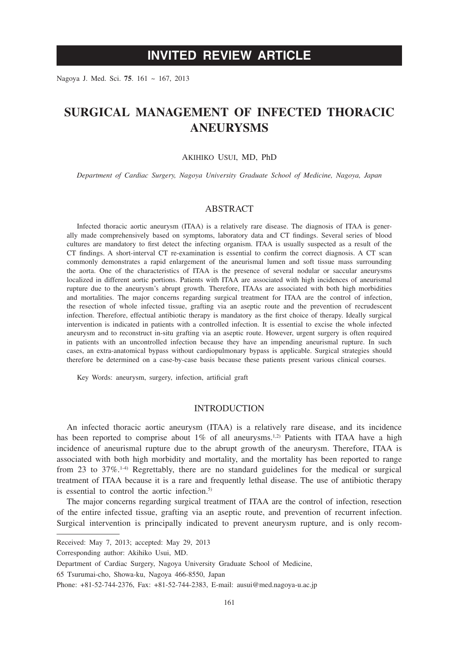# **INVITED REVIEW ARTICLE**

Nagoya J. Med. Sci. **75**. 161 ~ 167, 2013

# **SURGICAL MANAGEMENT OF INFECTED THORACIC ANEURYSMS**

#### Akihiko Usui, MD, PhD

*Department of Cardiac Surgery, Nagoya University Graduate School of Medicine, Nagoya, Japan*

#### ABSTRACT

Infected thoracic aortic aneurysm (ITAA) is a relatively rare disease. The diagnosis of ITAA is generally made comprehensively based on symptoms, laboratory data and CT findings. Several series of blood cultures are mandatory to first detect the infecting organism. ITAA is usually suspected as a result of the CT findings. A short-interval CT re-examination is essential to confirm the correct diagnosis. A CT scan commonly demonstrates a rapid enlargement of the aneurismal lumen and soft tissue mass surrounding the aorta. One of the characteristics of ITAA is the presence of several nodular or saccular aneurysms localized in different aortic portions. Patients with ITAA are associated with high incidences of aneurismal rupture due to the aneurysm's abrupt growth. Therefore, ITAAs are associated with both high morbidities and mortalities. The major concerns regarding surgical treatment for ITAA are the control of infection, the resection of whole infected tissue, grafting via an aseptic route and the prevention of recrudescent infection. Therefore, effectual antibiotic therapy is mandatory as the first choice of therapy. Ideally surgical intervention is indicated in patients with a controlled infection. It is essential to excise the whole infected aneurysm and to reconstruct in-situ grafting via an aseptic route. However, urgent surgery is often required in patients with an uncontrolled infection because they have an impending aneurismal rupture. In such cases, an extra-anatomical bypass without cardiopulmonary bypass is applicable. Surgical strategies should therefore be determined on a case-by-case basis because these patients present various clinical courses.

Key Words: aneurysm, surgery, infection, artificial graft

### INTRODUCTION

An infected thoracic aortic aneurysm (ITAA) is a relatively rare disease, and its incidence has been reported to comprise about  $1\%$  of all aneurysms.<sup>1,2)</sup> Patients with ITAA have a high incidence of aneurismal rupture due to the abrupt growth of the aneurysm. Therefore, ITAA is associated with both high morbidity and mortality, and the mortality has been reported to range from 23 to  $37\%$ .<sup>1.4)</sup> Regrettably, there are no standard guidelines for the medical or surgical treatment of ITAA because it is a rare and frequently lethal disease. The use of antibiotic therapy is essential to control the aortic infection.<sup>5)</sup>

The major concerns regarding surgical treatment of ITAA are the control of infection, resection of the entire infected tissue, grafting via an aseptic route, and prevention of recurrent infection. Surgical intervention is principally indicated to prevent aneurysm rupture, and is only recom-

65 Tsurumai-cho, Showa-ku, Nagoya 466-8550, Japan

Received: May 7, 2013; accepted: May 29, 2013

Corresponding author: Akihiko Usui, MD.

Department of Cardiac Surgery, Nagoya University Graduate School of Medicine,

Phone: +81-52-744-2376, Fax: +81-52-744-2383, E-mail: ausui@med.nagoya-u.ac.jp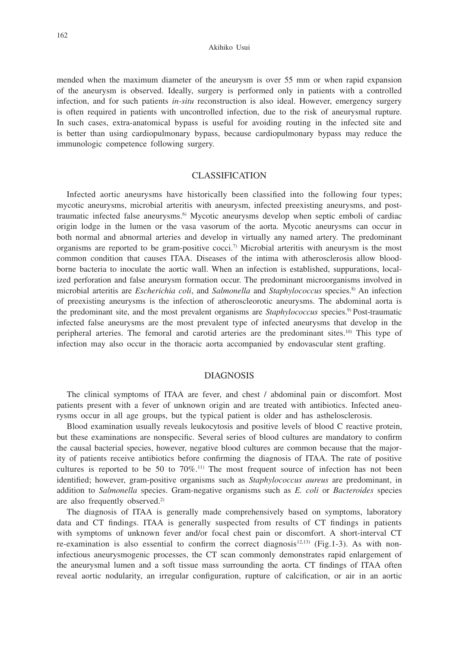Akihiko Usui

mended when the maximum diameter of the aneurysm is over 55 mm or when rapid expansion of the aneurysm is observed. Ideally, surgery is performed only in patients with a controlled infection, and for such patients *in-situ* reconstruction is also ideal. However, emergency surgery is often required in patients with uncontrolled infection, due to the risk of aneurysmal rupture. In such cases, extra-anatomical bypass is useful for avoiding routing in the infected site and is better than using cardiopulmonary bypass, because cardiopulmonary bypass may reduce the immunologic competence following surgery.

## CLASSIFICATION

Infected aortic aneurysms have historically been classified into the following four types; mycotic aneurysms, microbial arteritis with aneurysm, infected preexisting aneurysms, and posttraumatic infected false aneurysms.6) Mycotic aneurysms develop when septic emboli of cardiac origin lodge in the lumen or the vasa vasorum of the aorta. Mycotic aneurysms can occur in both normal and abnormal arteries and develop in virtually any named artery. The predominant organisms are reported to be gram-positive cocci.<sup>7)</sup> Microbial arteritis with aneurysm is the most common condition that causes ITAA. Diseases of the intima with atherosclerosis allow bloodborne bacteria to inoculate the aortic wall. When an infection is established, suppurations, localized perforation and false aneurysm formation occur. The predominant microorganisms involved in microbial arteritis are *Escherichia coli*, and *Salmonella* and *Staphylococcus* species.8) An infection of preexisting aneurysms is the infection of atheroscleorotic aneurysms. The abdominal aorta is the predominant site, and the most prevalent organisms are *Staphylococcus* species.9) Post-traumatic infected false aneurysms are the most prevalent type of infected aneurysms that develop in the peripheral arteries. The femoral and carotid arteries are the predominant sites.<sup>10)</sup> This type of infection may also occur in the thoracic aorta accompanied by endovascular stent grafting.

#### **DIAGNOSIS**

The clinical symptoms of ITAA are fever, and chest / abdominal pain or discomfort. Most patients present with a fever of unknown origin and are treated with antibiotics. Infected aneurysms occur in all age groups, but the typical patient is older and has asthelosclerosis.

Blood examination usually reveals leukocytosis and positive levels of blood C reactive protein, but these examinations are nonspecific. Several series of blood cultures are mandatory to confirm the causal bacterial species, however, negative blood cultures are common because that the majority of patients receive antibiotics before confirming the diagnosis of ITAA. The rate of positive cultures is reported to be 50 to  $70\%$ .<sup>11)</sup> The most frequent source of infection has not been identified; however, gram-positive organisms such as *Staphylococcus aureus* are predominant, in addition to *Salmonella* species. Gram-negative organisms such as *E. coli* or *Bacteroides* species are also frequently observed.2)

The diagnosis of ITAA is generally made comprehensively based on symptoms, laboratory data and CT findings. ITAA is generally suspected from results of CT findings in patients with symptoms of unknown fever and/or focal chest pain or discomfort. A short-interval CT re-examination is also essential to confirm the correct diagnosis<sup>12,13</sup>) (Fig.1-3). As with noninfectious aneurysmogenic processes, the CT scan commonly demonstrates rapid enlargement of the aneurysmal lumen and a soft tissue mass surrounding the aorta. CT findings of ITAA often reveal aortic nodularity, an irregular configuration, rupture of calcification, or air in an aortic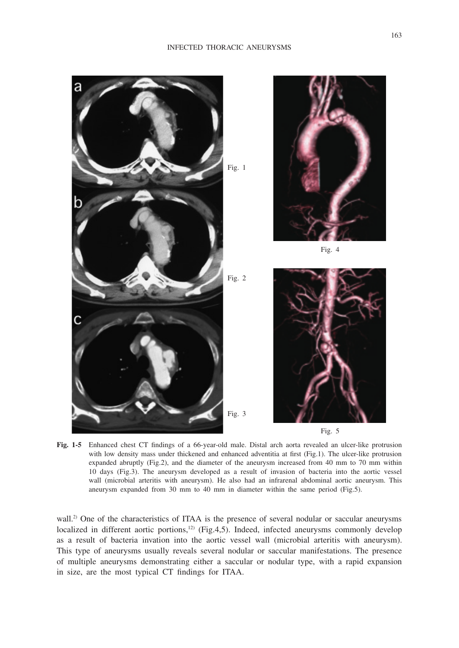#### INFECTED THORACIC ANEURYSMS



**Fig. 1-5** Enhanced chest CT findings of a 66-year-old male. Distal arch aorta revealed an ulcer-like protrusion with low density mass under thickened and enhanced adventitia at first (Fig.1). The ulcer-like protrusion expanded abruptly (Fig.2), and the diameter of the aneurysm increased from 40 mm to 70 mm within 10 days (Fig.3). The aneurysm developed as a result of invasion of bacteria into the aortic vessel wall (microbial arteritis with aneurysm). He also had an infrarenal abdominal aortic aneurysm. This aneurysm expanded from 30 mm to 40 mm in diameter within the same period (Fig.5).

wall.<sup>2)</sup> One of the characteristics of ITAA is the presence of several nodular or saccular aneurysms localized in different aortic portions, $12$  (Fig.4,5). Indeed, infected aneurysms commonly develop as a result of bacteria invation into the aortic vessel wall (microbial arteritis with aneurysm). This type of aneurysms usually reveals several nodular or saccular manifestations. The presence of multiple aneurysms demonstrating either a saccular or nodular type, with a rapid expansion in size, are the most typical CT findings for ITAA.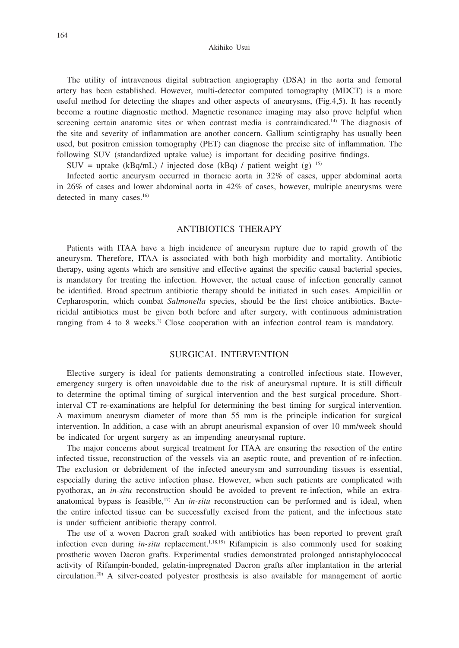The utility of intravenous digital subtraction angiography (DSA) in the aorta and femoral artery has been established. However, multi-detector computed tomography (MDCT) is a more useful method for detecting the shapes and other aspects of aneurysms, (Fig.4,5). It has recently become a routine diagnostic method. Magnetic resonance imaging may also prove helpful when screening certain anatomic sites or when contrast media is contraindicated.<sup>14)</sup> The diagnosis of the site and severity of inflammation are another concern. Gallium scintigraphy has usually been used, but positron emission tomography (PET) can diagnose the precise site of inflammation. The following SUV (standardized uptake value) is important for deciding positive findings.

SUV = uptake (kBq/mL) / injected dose (kBq) / patient weight (g)  $^{15}$ 

Infected aortic aneurysm occurred in thoracic aorta in 32% of cases, upper abdominal aorta in 26% of cases and lower abdominal aorta in 42% of cases, however, multiple aneurysms were detected in many cases.<sup>16)</sup>

### ANTIBIOTICS THERAPY

Patients with ITAA have a high incidence of aneurysm rupture due to rapid growth of the aneurysm. Therefore, ITAA is associated with both high morbidity and mortality. Antibiotic therapy, using agents which are sensitive and effective against the specific causal bacterial species, is mandatory for treating the infection. However, the actual cause of infection generally cannot be identified. Broad spectrum antibiotic therapy should be initiated in such cases. Ampicillin or Cepharosporin, which combat *Salmonella* species, should be the first choice antibiotics. Bactericidal antibiotics must be given both before and after surgery, with continuous administration ranging from 4 to 8 weeks.<sup>2)</sup> Close cooperation with an infection control team is mandatory.

### SURGICAL INTERVENTION

Elective surgery is ideal for patients demonstrating a controlled infectious state. However, emergency surgery is often unavoidable due to the risk of aneurysmal rupture. It is still difficult to determine the optimal timing of surgical intervention and the best surgical procedure. Shortinterval CT re-examinations are helpful for determining the best timing for surgical intervention. A maximum aneurysm diameter of more than 55 mm is the principle indication for surgical intervention. In addition, a case with an abrupt aneurismal expansion of over 10 mm/week should be indicated for urgent surgery as an impending aneurysmal rupture.

The major concerns about surgical treatment for ITAA are ensuring the resection of the entire infected tissue, reconstruction of the vessels via an aseptic route, and prevention of re-infection. The exclusion or debridement of the infected aneurysm and surrounding tissues is essential, especially during the active infection phase. However, when such patients are complicated with pyothorax, an *in-situ* reconstruction should be avoided to prevent re-infection, while an extraanatomical bypass is feasible,<sup>17)</sup> An *in-situ* reconstruction can be performed and is ideal, when the entire infected tissue can be successfully excised from the patient, and the infectious state is under sufficient antibiotic therapy control.

The use of a woven Dacron graft soaked with antibiotics has been reported to prevent graft infection even during *in-situ* replacement.<sup>1,18,19</sup>) Rifampicin is also commonly used for soaking prosthetic woven Dacron grafts. Experimental studies demonstrated prolonged antistaphylococcal activity of Rifampin-bonded, gelatin-impregnated Dacron grafts after implantation in the arterial circulation.20) A silver-coated polyester prosthesis is also available for management of aortic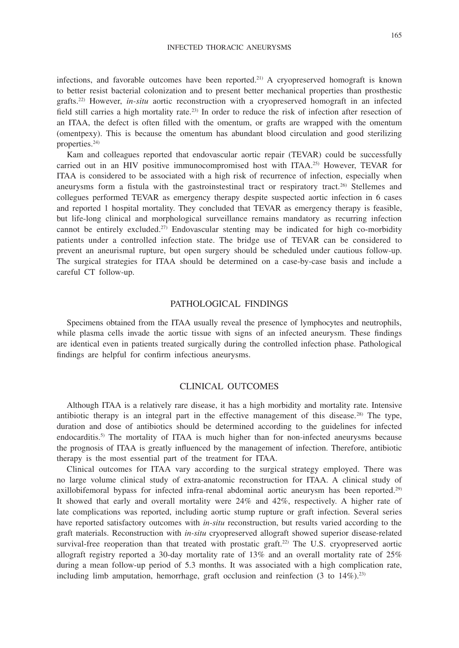infections, and favorable outcomes have been reported.21) A cryopreserved homograft is known to better resist bacterial colonization and to present better mechanical properties than prosthestic grafts.22) However, *in-situ* aortic reconstruction with a cryopreserved homograft in an infected field still carries a high mortality rate.23) In order to reduce the risk of infection after resection of an ITAA, the defect is often filled with the omentum, or grafts are wrapped with the omentum (omentpexy). This is because the omentum has abundant blood circulation and good sterilizing properties.24)

Kam and colleagues reported that endovascular aortic repair (TEVAR) could be successfully carried out in an HIV positive immunocompromised host with ITAA.25) However, TEVAR for ITAA is considered to be associated with a high risk of recurrence of infection, especially when aneurysms form a fistula with the gastroinstestinal tract or respiratory tract.26) Stellemes and collegues performed TEVAR as emergency therapy despite suspected aortic infection in 6 cases and reported 1 hospital mortality. They concluded that TEVAR as emergency therapy is feasible, but life-long clinical and morphological surveillance remains mandatory as recurring infection cannot be entirely excluded.<sup>27)</sup> Endovascular stenting may be indicated for high co-morbidity patients under a controlled infection state. The bridge use of TEVAR can be considered to prevent an aneurismal rupture, but open surgery should be scheduled under cautious follow-up. The surgical strategies for ITAA should be determined on a case-by-case basis and include a careful CT follow-up.

### PATHOLOGICAL FINDINGS

Specimens obtained from the ITAA usually reveal the presence of lymphocytes and neutrophils, while plasma cells invade the aortic tissue with signs of an infected aneurysm. These findings are identical even in patients treated surgically during the controlled infection phase. Pathological findings are helpful for confirm infectious aneurysms.

### CLINICAL OUTCOMES

Although ITAA is a relatively rare disease, it has a high morbidity and mortality rate. Intensive antibiotic therapy is an integral part in the effective management of this disease.28) The type, duration and dose of antibiotics should be determined according to the guidelines for infected endocarditis.5) The mortality of ITAA is much higher than for non-infected aneurysms because the prognosis of ITAA is greatly influenced by the management of infection. Therefore, antibiotic therapy is the most essential part of the treatment for ITAA.

Clinical outcomes for ITAA vary according to the surgical strategy employed. There was no large volume clinical study of extra-anatomic reconstruction for ITAA. A clinical study of axillobifemoral bypass for infected infra-renal abdominal aortic aneurysm has been reported.29) It showed that early and overall mortality were 24% and 42%, respectively. A higher rate of late complications was reported, including aortic stump rupture or graft infection. Several series have reported satisfactory outcomes with *in-situ* reconstruction, but results varied according to the graft materials. Reconstruction with *in-situ* cryopreserved allograft showed superior disease-related survival-free reoperation than that treated with prostatic graft.<sup>22)</sup> The U.S. cryopreserved aortic allograft registry reported a 30-day mortality rate of 13% and an overall mortality rate of 25% during a mean follow-up period of 5.3 months. It was associated with a high complication rate, including limb amputation, hemorrhage, graft occlusion and reinfection  $(3 \text{ to } 14\%)$ .<sup>23)</sup>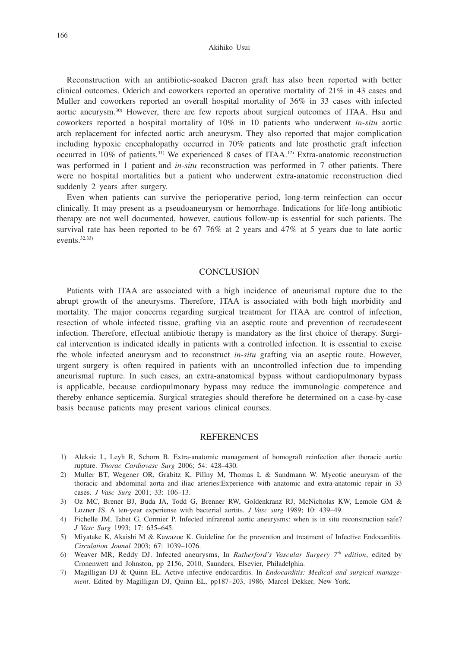#### Akihiko Usui

Reconstruction with an antibiotic-soaked Dacron graft has also been reported with better clinical outcomes. Oderich and coworkers reported an operative mortality of 21% in 43 cases and Muller and coworkers reported an overall hospital mortality of 36% in 33 cases with infected aortic aneurysm.30) However, there are few reports about surgical outcomes of ITAA. Hsu and coworkers reported a hospital mortality of 10% in 10 patients who underwent *in-situ* aortic arch replacement for infected aortic arch aneurysm. They also reported that major complication including hypoxic encephalopathy occurred in 70% patients and late prosthetic graft infection occurred in 10% of patients.31) We experienced 8 cases of ITAA.12) Extra-anatomic reconstruction was performed in 1 patient and *in-situ* reconstruction was performed in 7 other patients. There were no hospital mortalities but a patient who underwent extra-anatomic reconstruction died suddenly 2 years after surgery.

Even when patients can survive the perioperative period, long-term reinfection can occur clinically. It may present as a pseudoaneurysm or hemorrhage. Indications for life-long antibiotic therapy are not well documented, however, cautious follow-up is essential for such patients. The survival rate has been reported to be  $67-76\%$  at 2 years and  $47\%$  at 5 years due to late aortic events.32,33)

## **CONCLUSION**

Patients with ITAA are associated with a high incidence of aneurismal rupture due to the abrupt growth of the aneurysms. Therefore, ITAA is associated with both high morbidity and mortality. The major concerns regarding surgical treatment for ITAA are control of infection, resection of whole infected tissue, grafting via an aseptic route and prevention of recrudescent infection. Therefore, effectual antibiotic therapy is mandatory as the first choice of therapy. Surgical intervention is indicated ideally in patients with a controlled infection. It is essential to excise the whole infected aneurysm and to reconstruct *in-situ* grafting via an aseptic route. However, urgent surgery is often required in patients with an uncontrolled infection due to impending aneurismal rupture. In such cases, an extra-anatomical bypass without cardiopulmonary bypass is applicable, because cardiopulmonary bypass may reduce the immunologic competence and thereby enhance septicemia. Surgical strategies should therefore be determined on a case-by-case basis because patients may present various clinical courses.

#### **REFERENCES**

- 1) Aleksic L, Leyh R, Schorn B. Extra-anatomic management of homograft reinfection after thoracic aortic rupture. *Thorac Cardiovasc Surg* 2006; 54: 428–430.
- 2) Muller BT, Wegener OR, Grabitz K, Pillny M, Thomas L & Sandmann W. Mycotic aneurysm of the thoracic and abdominal aorta and iliac arteries:Experience with anatomic and extra-anatomic repair in 33 cases. *J Vasc Surg* 2001; 33: 106–13.
- 3) Oz MC, Brener BJ, Buda JA, Todd G, Brenner RW, Goldenkranz RJ, McNicholas KW, Lemole GM & Lozner JS. A ten-year experiense with bacterial aortits. *J Vasc surg* 1989; 10: 439–49.
- 4) Fichelle JM, Tabet G, Cormier P. Infected infrarenal aortic aneurysms: when is in situ reconstruction safe? *J Vasc Surg* 1993; 17: 635–645.
- 5) Miyatake K, Akaishi M & Kawazoe K. Guideline for the prevention and treatment of Infective Endocarditis. *Circulation Jounal* 2003; 67: 1039–1076.
- 6) Weaver MR, Reddy DJ. Infected aneurysms, In *Rutherford's Vascular Surgery 7th edition*, edited by Cronenwett and Johnston, pp 2156, 2010, Saunders, Elsevier, Philadelphia.
- 7) Magilligan DJ & Quinn EL. Active infective endocarditis. In *Endocarditis: Medical and surgical management*. Edited by Magilligan DJ, Quinn EL, pp187–203, 1986, Marcel Dekker, New York.